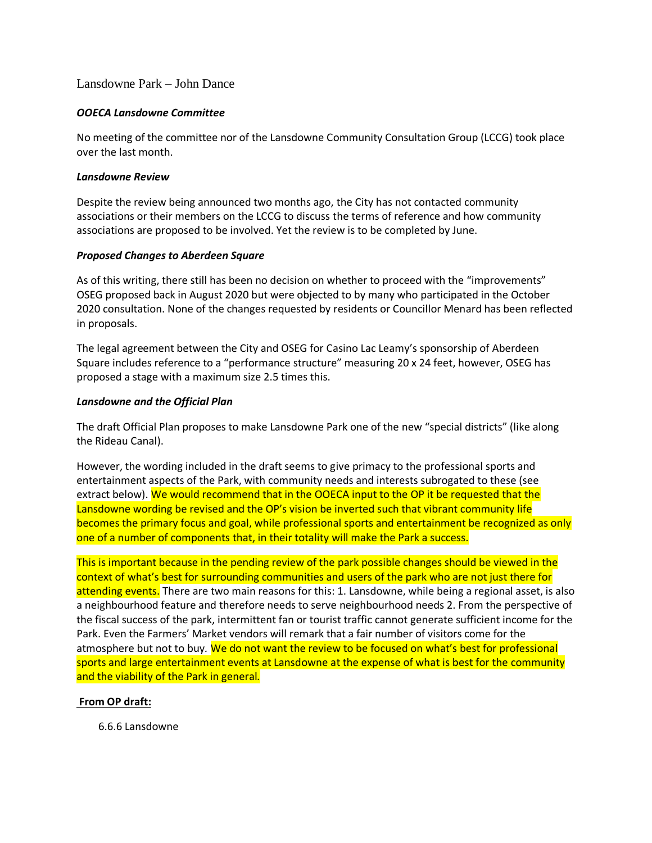## Lansdowne Park – John Dance

#### *OOECA Lansdowne Committee*

No meeting of the committee nor of the Lansdowne Community Consultation Group (LCCG) took place over the last month.

#### *Lansdowne Review*

Despite the review being announced two months ago, the City has not contacted community associations or their members on the LCCG to discuss the terms of reference and how community associations are proposed to be involved. Yet the review is to be completed by June.

### *Proposed Changes to Aberdeen Square*

As of this writing, there still has been no decision on whether to proceed with the "improvements" OSEG proposed back in August 2020 but were objected to by many who participated in the October 2020 consultation. None of the changes requested by residents or Councillor Menard has been reflected in proposals.

The legal agreement between the City and OSEG for Casino Lac Leamy's sponsorship of Aberdeen Square includes reference to a "performance structure" measuring 20 x 24 feet, however, OSEG has proposed a stage with a maximum size 2.5 times this.

### *Lansdowne and the Official Plan*

The draft Official Plan proposes to make Lansdowne Park one of the new "special districts" (like along the Rideau Canal).

However, the wording included in the draft seems to give primacy to the professional sports and entertainment aspects of the Park, with community needs and interests subrogated to these (see extract below). We would recommend that in the OOECA input to the OP it be requested that the Lansdowne wording be revised and the OP's vision be inverted such that vibrant community life becomes the primary focus and goal, while professional sports and entertainment be recognized as only one of a number of components that, in their totality will make the Park a success.

This is important because in the pending review of the park possible changes should be viewed in the context of what's best for surrounding communities and users of the park who are not just there for attending events. There are two main reasons for this: 1. Lansdowne, while being a regional asset, is also a neighbourhood feature and therefore needs to serve neighbourhood needs 2. From the perspective of the fiscal success of the park, intermittent fan or tourist traffic cannot generate sufficient income for the Park. Even the Farmers' Market vendors will remark that a fair number of visitors come for the atmosphere but not to buy*.* We do not want the review to be focused on what's best for professional sports and large entertainment events at Lansdowne at the expense of what is best for the community and the viability of the Park in general*.*

## **From OP draft:**

6.6.6 Lansdowne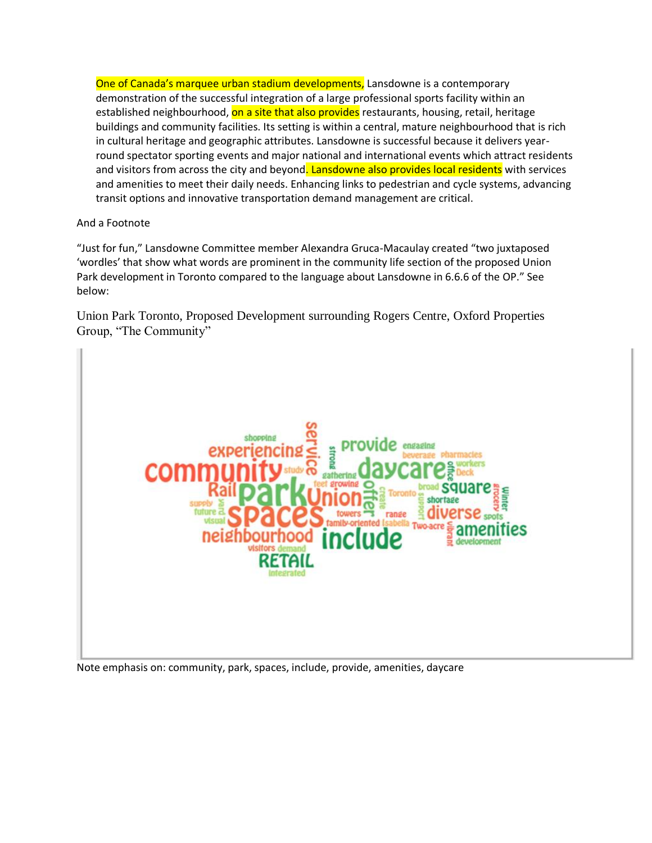One of Canada's marquee urban stadium developments, Lansdowne is a contemporary demonstration of the successful integration of a large professional sports facility within an established neighbourhood, on a site that also provides restaurants, housing, retail, heritage buildings and community facilities. Its setting is within a central, mature neighbourhood that is rich in cultural heritage and geographic attributes. Lansdowne is successful because it delivers yearround spectator sporting events and major national and international events which attract residents and visitors from across the city and beyond. Lansdowne also provides local residents with services and amenities to meet their daily needs. Enhancing links to pedestrian and cycle systems, advancing transit options and innovative transportation demand management are critical.

# And a Footnote

"Just for fun," Lansdowne Committee member Alexandra Gruca-Macaulay created "two juxtaposed 'wordles' that show what words are prominent in the community life section of the proposed Union Park development in Toronto compared to the language about Lansdowne in 6.6.6 of the OP." See below:

Union Park Toronto, Proposed Development surrounding Rogers Centre, Oxford Properties Group, "The Community"



Note emphasis on: community, park, spaces, include, provide, amenities, daycare